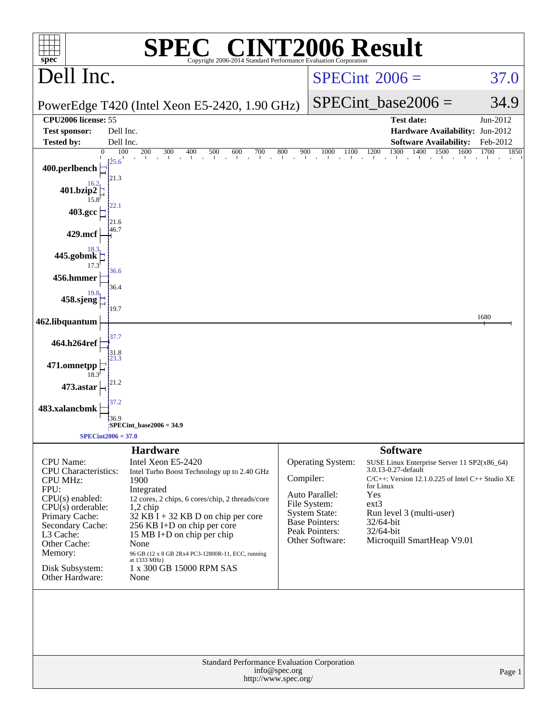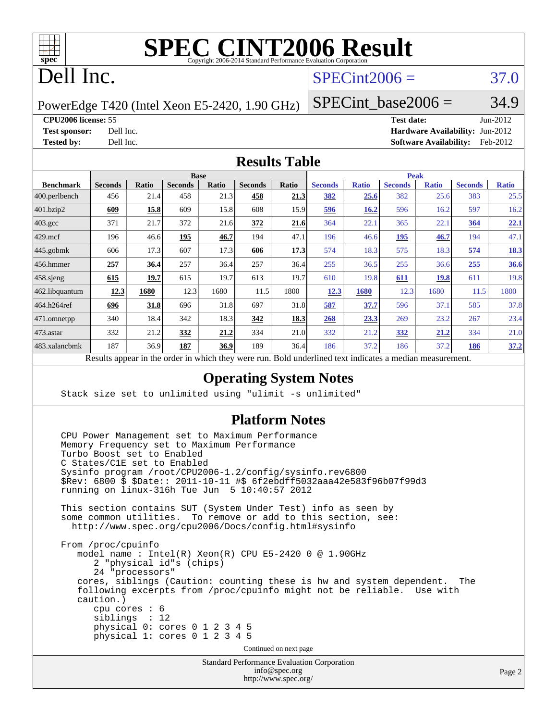

# **[SPEC CINT2006 Result](http://www.spec.org/auto/cpu2006/Docs/result-fields.html#SPECCINT2006Result)**

## Dell Inc.

## $SPECint2006 = 37.0$  $SPECint2006 = 37.0$

PowerEdge T420 (Intel Xeon E5-2420, 1.90 GHz)

SPECint base2006 =  $34.9$ 

**[CPU2006 license:](http://www.spec.org/auto/cpu2006/Docs/result-fields.html#CPU2006license)** 55 **[Test date:](http://www.spec.org/auto/cpu2006/Docs/result-fields.html#Testdate)** Jun-2012 **[Test sponsor:](http://www.spec.org/auto/cpu2006/Docs/result-fields.html#Testsponsor)** Dell Inc. **[Hardware Availability:](http://www.spec.org/auto/cpu2006/Docs/result-fields.html#HardwareAvailability)** Jun-2012 **[Tested by:](http://www.spec.org/auto/cpu2006/Docs/result-fields.html#Testedby)** Dell Inc. **[Software Availability:](http://www.spec.org/auto/cpu2006/Docs/result-fields.html#SoftwareAvailability)** Feb-2012

#### **[Results Table](http://www.spec.org/auto/cpu2006/Docs/result-fields.html#ResultsTable)**

|                         | <b>Base</b>                                                        |              |                |       |                |             | <b>Peak</b>                                     |              |                |              |                |              |
|-------------------------|--------------------------------------------------------------------|--------------|----------------|-------|----------------|-------------|-------------------------------------------------|--------------|----------------|--------------|----------------|--------------|
| <b>Benchmark</b>        | <b>Seconds</b>                                                     | <b>Ratio</b> | <b>Seconds</b> | Ratio | <b>Seconds</b> | Ratio       | <b>Seconds</b>                                  | <b>Ratio</b> | <b>Seconds</b> | <b>Ratio</b> | <b>Seconds</b> | <b>Ratio</b> |
| $ 400.\text{perlbench}$ | 456                                                                | 21.4         | 458            | 21.3  | 458            | 21.3        | 382                                             | 25.6         | 382            | 25.6         | 383            | 25.5         |
| 401.bzip2               | 609                                                                | 15.8         | 609            | 15.8  | 608            | 15.9        | 596                                             | 16.2         | 596            | 16.2         | 597            | 16.2         |
| $403.\text{gcc}$        | 371                                                                | 21.7         | 372            | 21.6  | 372            | 21.6        | 364                                             | 22.1         | 365            | 22.1         | 364            | 22.1         |
| $429$ .mcf              | 196                                                                | 46.6         | 195            | 46.7  | 194            | 47.1        | 196                                             | 46.6         | 195            | 46.7         | 194            | 47.1         |
| $445$ .gobmk            | 606                                                                | 17.3         | 607            | 17.3  | 606            | 17.3        | 574                                             | 18.3         | 575            | 18.3         | 574            | 18.3         |
| 456.hmmer               | 257                                                                | 36.4         | 257            | 36.4  | 257            | 36.4        | 255                                             | 36.5         | 255            | 36.6         | 255            | 36.6         |
| $458$ .sjeng            | 615                                                                | 19.7         | 615            | 19.7  | 613            | 19.7        | 610                                             | 19.8         | 611            | <b>19.8</b>  | 611            | 19.8         |
| 462.libquantum          | 12.3                                                               | 1680         | 12.3           | 1680  | 11.5           | 1800        | 12.3                                            | 1680         | 12.3           | 1680         | 11.5           | 1800         |
| 464.h264ref             | 696                                                                | 31.8         | 696            | 31.8  | 697            | 31.8        | 587                                             | 37.7         | 596            | 37.1         | 585            | 37.8         |
| 471.omnetpp             | 340                                                                | 18.4         | 342            | 18.3  | 342            | <u>18.3</u> | 268                                             | 23.3         | 269            | 23.2         | 267            | 23.4         |
| $ 473$ . astar          | 332                                                                | 21.2         | 332            | 21.2  | 334            | 21.0        | 332                                             | 21.2         | 332            | 21.2         | 334            | 21.0         |
| 483.xalancbmk           | 187                                                                | 36.9         | 187            | 36.9  | 189            | 36.4        | 186                                             | 37.2         | 186            | 37.2         | 186            | 37.2         |
|                         | Described and also the their and an indicate the these created man |              |                |       |                |             | Deld and called to change in discovery a modium |              |                |              |                |              |

Results appear in the [order in which they were run.](http://www.spec.org/auto/cpu2006/Docs/result-fields.html#RunOrder) Bold underlined text [indicates a median measurement.](http://www.spec.org/auto/cpu2006/Docs/result-fields.html#Median)

### **[Operating System Notes](http://www.spec.org/auto/cpu2006/Docs/result-fields.html#OperatingSystemNotes)**

Stack size set to unlimited using "ulimit -s unlimited"

#### **[Platform Notes](http://www.spec.org/auto/cpu2006/Docs/result-fields.html#PlatformNotes)**

 CPU Power Management set to Maximum Performance Memory Frequency set to Maximum Performance Turbo Boost set to Enabled C States/C1E set to Enabled Sysinfo program /root/CPU2006-1.2/config/sysinfo.rev6800 \$Rev: 6800 \$ \$Date:: 2011-10-11 #\$ 6f2ebdff5032aaa42e583f96b07f99d3 running on linux-316h Tue Jun 5 10:40:57 2012 This section contains SUT (System Under Test) info as seen by some common utilities. To remove or add to this section, see: <http://www.spec.org/cpu2006/Docs/config.html#sysinfo> From /proc/cpuinfo model name : Intel(R) Xeon(R) CPU E5-2420 0 @ 1.90GHz 2 "physical id"s (chips) 24 "processors" cores, siblings (Caution: counting these is hw and system dependent. The following excerpts from /proc/cpuinfo might not be reliable. Use with caution.) cpu cores : 6 siblings : 12 physical 0: cores 0 1 2 3 4 5 physical 1: cores 0 1 2 3 4 5 Continued on next page

Standard Performance Evaluation Corporation [info@spec.org](mailto:info@spec.org) <http://www.spec.org/>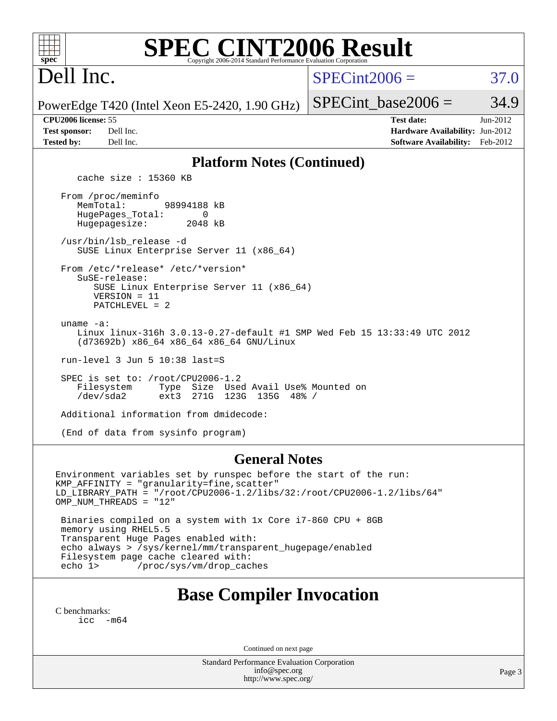| <b>SPEC CINT2006 Result</b><br>$spec^*$<br>Copyright 2006-2014 Standard Performance Evaluation Corporation                                                                                                                                   |                                                                                                            |  |  |  |  |
|----------------------------------------------------------------------------------------------------------------------------------------------------------------------------------------------------------------------------------------------|------------------------------------------------------------------------------------------------------------|--|--|--|--|
| Dell Inc.                                                                                                                                                                                                                                    | $SPECint2006 =$<br>37.0                                                                                    |  |  |  |  |
| PowerEdge T420 (Intel Xeon E5-2420, 1.90 GHz)                                                                                                                                                                                                | 34.9<br>$SPECint base2006 =$                                                                               |  |  |  |  |
| CPU2006 license: 55<br><b>Test sponsor:</b><br>Dell Inc.<br><b>Tested by:</b><br>Dell Inc.                                                                                                                                                   | <b>Test date:</b><br>Jun-2012<br>Hardware Availability: Jun-2012<br><b>Software Availability:</b> Feb-2012 |  |  |  |  |
| <b>Platform Notes (Continued)</b><br>cache size $: 15360$ KB                                                                                                                                                                                 |                                                                                                            |  |  |  |  |
| From /proc/meminfo<br>MemTotal:<br>98994188 kB<br>HugePages_Total:<br>0<br>2048 kB<br>Hugepagesize:                                                                                                                                          |                                                                                                            |  |  |  |  |
| /usr/bin/lsb_release -d<br>SUSE Linux Enterprise Server 11 (x86_64)                                                                                                                                                                          |                                                                                                            |  |  |  |  |
| From /etc/*release* /etc/*version*<br>SuSE-release:<br>SUSE Linux Enterprise Server 11 (x86_64)<br>$VERSION = 11$<br>PATCHLEVEL = 2                                                                                                          |                                                                                                            |  |  |  |  |
| uname $-a$ :<br>Linux linux-316h 3.0.13-0.27-default #1 SMP Wed Feb 15 13:33:49 UTC 2012<br>(d73692b) x86_64 x86_64 x86_64 GNU/Linux                                                                                                         |                                                                                                            |  |  |  |  |
| run-level 3 Jun 5 10:38 last=S                                                                                                                                                                                                               |                                                                                                            |  |  |  |  |
| SPEC is set to: /root/CPU2006-1.2<br>Filesystem<br>Size Used Avail Use% Mounted on<br>Type<br>$/\text{dev/sda2}$<br>ext3<br>271G<br>123G 135G 48% /                                                                                          |                                                                                                            |  |  |  |  |
| Additional information from dmidecode:                                                                                                                                                                                                       |                                                                                                            |  |  |  |  |
| (End of data from sysinfo program)                                                                                                                                                                                                           |                                                                                                            |  |  |  |  |
| <b>General Notes</b><br>Environment variables set by runspec before the start of the run:<br>KMP_AFFINITY = "granularity=fine, scatter"<br>LD_LIBRARY_PATH = "/root/CPU2006-1.2/libs/32:/root/CPU2006-1.2/libs/64"<br>OMP NUM THREADS = "12" |                                                                                                            |  |  |  |  |

 Binaries compiled on a system with 1x Core i7-860 CPU + 8GB memory using RHEL5.5 Transparent Huge Pages enabled with: echo always > /sys/kernel/mm/transparent\_hugepage/enabled Filesystem page cache cleared with: echo 1> /proc/sys/vm/drop\_caches

## **[Base Compiler Invocation](http://www.spec.org/auto/cpu2006/Docs/result-fields.html#BaseCompilerInvocation)**

[C benchmarks](http://www.spec.org/auto/cpu2006/Docs/result-fields.html#Cbenchmarks): [icc -m64](http://www.spec.org/cpu2006/results/res2012q3/cpu2006-20120703-23484.flags.html#user_CCbase_intel_icc_64bit_f346026e86af2a669e726fe758c88044)

Continued on next page

Standard Performance Evaluation Corporation [info@spec.org](mailto:info@spec.org) <http://www.spec.org/>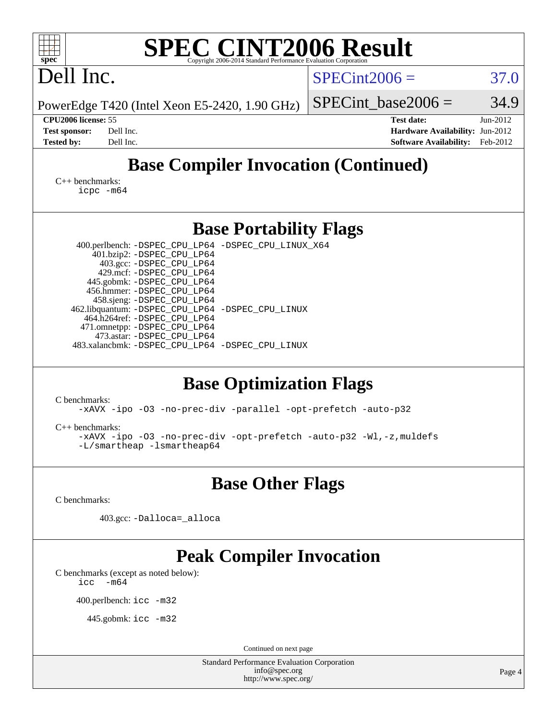| <b>SPEC CINT2006 Result</b><br>spec <sup>®</sup><br>Copyright 2006-2014 Standard Performance Evaluation Corporation                                                                                                                                                                                                                                                                                                                        |                                                                                                               |  |  |  |  |
|--------------------------------------------------------------------------------------------------------------------------------------------------------------------------------------------------------------------------------------------------------------------------------------------------------------------------------------------------------------------------------------------------------------------------------------------|---------------------------------------------------------------------------------------------------------------|--|--|--|--|
| Dell Inc.                                                                                                                                                                                                                                                                                                                                                                                                                                  | $SPECint2006 =$<br>37.0                                                                                       |  |  |  |  |
| PowerEdge T420 (Intel Xeon E5-2420, 1.90 GHz)                                                                                                                                                                                                                                                                                                                                                                                              | 34.9<br>$SPECint base2006 =$                                                                                  |  |  |  |  |
| CPU2006 license: 55<br>Dell Inc.<br><b>Test sponsor:</b><br>Dell Inc.<br><b>Tested by:</b>                                                                                                                                                                                                                                                                                                                                                 | <b>Test date:</b><br>Jun-2012<br>Hardware Availability: Jun-2012<br><b>Software Availability:</b><br>Feb-2012 |  |  |  |  |
| <b>Base Compiler Invocation (Continued)</b>                                                                                                                                                                                                                                                                                                                                                                                                |                                                                                                               |  |  |  |  |
| $C_{++}$ benchmarks:<br>icpc -m64                                                                                                                                                                                                                                                                                                                                                                                                          |                                                                                                               |  |  |  |  |
| <b>Base Portability Flags</b>                                                                                                                                                                                                                                                                                                                                                                                                              |                                                                                                               |  |  |  |  |
| 400.perlbench: -DSPEC_CPU_LP64 -DSPEC_CPU_LINUX_X64<br>401.bzip2: -DSPEC_CPU_LP64<br>403.gcc: -DSPEC_CPU_LP64<br>429.mcf: -DSPEC_CPU_LP64<br>445.gobmk: -DSPEC_CPU_LP64<br>456.hmmer: - DSPEC_CPU_LP64<br>458.sjeng: - DSPEC_CPU_LP64<br>462.libquantum: -DSPEC_CPU_LP64 -DSPEC_CPU_LINUX<br>464.h264ref: -DSPEC_CPU_LP64<br>471.omnetpp: -DSPEC_CPU_LP64<br>473.astar: -DSPEC_CPU_LP64<br>483.xalancbmk: -DSPEC_CPU_LP64 -DSPEC_CPU_LINUX |                                                                                                               |  |  |  |  |
| <b>Base Optimization Flags</b>                                                                                                                                                                                                                                                                                                                                                                                                             |                                                                                                               |  |  |  |  |
| C benchmarks:<br>-xAVX -ipo -03 -no-prec-div -parallel -opt-prefetch -auto-p32                                                                                                                                                                                                                                                                                                                                                             |                                                                                                               |  |  |  |  |
| $C_{++}$ benchmarks:<br>-xAVX -ipo -03 -no-prec-div -opt-prefetch -auto-p32 -Wl,-z, muldefs<br>-L/smartheap -lsmartheap64                                                                                                                                                                                                                                                                                                                  |                                                                                                               |  |  |  |  |
| <b>Base Other Flags</b>                                                                                                                                                                                                                                                                                                                                                                                                                    |                                                                                                               |  |  |  |  |
| C benchmarks:                                                                                                                                                                                                                                                                                                                                                                                                                              |                                                                                                               |  |  |  |  |
| 403.gcc: -Dalloca=_alloca                                                                                                                                                                                                                                                                                                                                                                                                                  |                                                                                                               |  |  |  |  |
| <b>Peak Compiler Invocation</b><br>C benchmarks (except as noted below):<br>$-m64$<br>icc                                                                                                                                                                                                                                                                                                                                                  |                                                                                                               |  |  |  |  |
| 400.perlbench: icc -m32                                                                                                                                                                                                                                                                                                                                                                                                                    |                                                                                                               |  |  |  |  |
| 445.gobmk: icc -m32                                                                                                                                                                                                                                                                                                                                                                                                                        |                                                                                                               |  |  |  |  |
| Continued on next page                                                                                                                                                                                                                                                                                                                                                                                                                     |                                                                                                               |  |  |  |  |
| <b>Standard Performance Evaluation Corporation</b><br>info@spec.org<br>http://www.spec.org/                                                                                                                                                                                                                                                                                                                                                | Page 4                                                                                                        |  |  |  |  |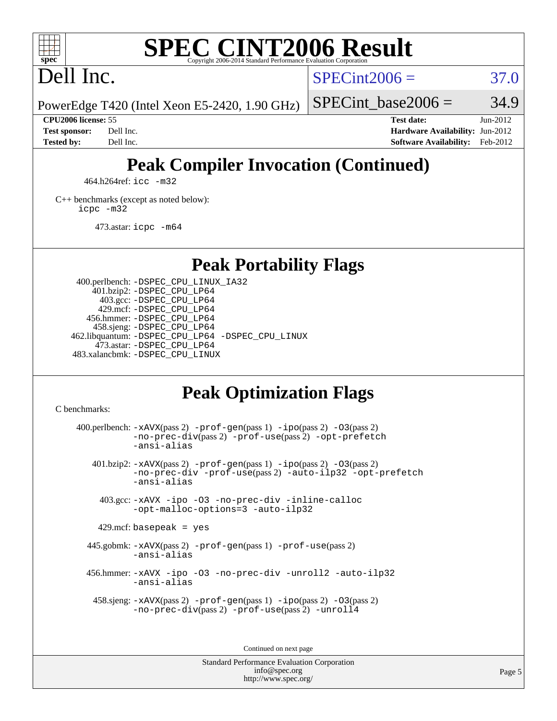

#### **[SPEC CINT2006 Result](http://www.spec.org/auto/cpu2006/Docs/result-fields.html#SPECCINT2006Result)** Copyright 2006-2014 Standard Performance Evaluation C

Dell Inc.

 $SPECint2006 = 37.0$  $SPECint2006 = 37.0$ 

SPECint base2006 =  $34.9$ 

PowerEdge T420 (Intel Xeon E5-2420, 1.90 GHz)

**[CPU2006 license:](http://www.spec.org/auto/cpu2006/Docs/result-fields.html#CPU2006license)** 55 **[Test date:](http://www.spec.org/auto/cpu2006/Docs/result-fields.html#Testdate)** Jun-2012 **[Test sponsor:](http://www.spec.org/auto/cpu2006/Docs/result-fields.html#Testsponsor)** Dell Inc. **[Hardware Availability:](http://www.spec.org/auto/cpu2006/Docs/result-fields.html#HardwareAvailability)** Jun-2012 **[Tested by:](http://www.spec.org/auto/cpu2006/Docs/result-fields.html#Testedby)** Dell Inc. **[Software Availability:](http://www.spec.org/auto/cpu2006/Docs/result-fields.html#SoftwareAvailability)** Feb-2012

## **[Peak Compiler Invocation \(Continued\)](http://www.spec.org/auto/cpu2006/Docs/result-fields.html#PeakCompilerInvocation)**

464.h264ref: [icc -m32](http://www.spec.org/cpu2006/results/res2012q3/cpu2006-20120703-23484.flags.html#user_peakCCLD464_h264ref_intel_icc_a6a621f8d50482236b970c6ac5f55f93)

[C++ benchmarks \(except as noted below\):](http://www.spec.org/auto/cpu2006/Docs/result-fields.html#CXXbenchmarksexceptasnotedbelow) [icpc -m32](http://www.spec.org/cpu2006/results/res2012q3/cpu2006-20120703-23484.flags.html#user_CXXpeak_intel_icpc_4e5a5ef1a53fd332b3c49e69c3330699)

473.astar: [icpc -m64](http://www.spec.org/cpu2006/results/res2012q3/cpu2006-20120703-23484.flags.html#user_peakCXXLD473_astar_intel_icpc_64bit_fc66a5337ce925472a5c54ad6a0de310)

**[Peak Portability Flags](http://www.spec.org/auto/cpu2006/Docs/result-fields.html#PeakPortabilityFlags)**

 400.perlbench: [-DSPEC\\_CPU\\_LINUX\\_IA32](http://www.spec.org/cpu2006/results/res2012q3/cpu2006-20120703-23484.flags.html#b400.perlbench_peakCPORTABILITY_DSPEC_CPU_LINUX_IA32) 401.bzip2: [-DSPEC\\_CPU\\_LP64](http://www.spec.org/cpu2006/results/res2012q3/cpu2006-20120703-23484.flags.html#suite_peakPORTABILITY401_bzip2_DSPEC_CPU_LP64) 403.gcc: [-DSPEC\\_CPU\\_LP64](http://www.spec.org/cpu2006/results/res2012q3/cpu2006-20120703-23484.flags.html#suite_peakPORTABILITY403_gcc_DSPEC_CPU_LP64) 429.mcf: [-DSPEC\\_CPU\\_LP64](http://www.spec.org/cpu2006/results/res2012q3/cpu2006-20120703-23484.flags.html#suite_peakPORTABILITY429_mcf_DSPEC_CPU_LP64) 456.hmmer: [-DSPEC\\_CPU\\_LP64](http://www.spec.org/cpu2006/results/res2012q3/cpu2006-20120703-23484.flags.html#suite_peakPORTABILITY456_hmmer_DSPEC_CPU_LP64) 458.sjeng: [-DSPEC\\_CPU\\_LP64](http://www.spec.org/cpu2006/results/res2012q3/cpu2006-20120703-23484.flags.html#suite_peakPORTABILITY458_sjeng_DSPEC_CPU_LP64) 462.libquantum: [-DSPEC\\_CPU\\_LP64](http://www.spec.org/cpu2006/results/res2012q3/cpu2006-20120703-23484.flags.html#suite_peakPORTABILITY462_libquantum_DSPEC_CPU_LP64) [-DSPEC\\_CPU\\_LINUX](http://www.spec.org/cpu2006/results/res2012q3/cpu2006-20120703-23484.flags.html#b462.libquantum_peakCPORTABILITY_DSPEC_CPU_LINUX) 473.astar: [-DSPEC\\_CPU\\_LP64](http://www.spec.org/cpu2006/results/res2012q3/cpu2006-20120703-23484.flags.html#suite_peakPORTABILITY473_astar_DSPEC_CPU_LP64) 483.xalancbmk: [-DSPEC\\_CPU\\_LINUX](http://www.spec.org/cpu2006/results/res2012q3/cpu2006-20120703-23484.flags.html#b483.xalancbmk_peakCXXPORTABILITY_DSPEC_CPU_LINUX)

## **[Peak Optimization Flags](http://www.spec.org/auto/cpu2006/Docs/result-fields.html#PeakOptimizationFlags)**

[C benchmarks](http://www.spec.org/auto/cpu2006/Docs/result-fields.html#Cbenchmarks):

400.perlbench:  $-xAUX(pass 2)$  -prof-qen(pass 1) [-ipo](http://www.spec.org/cpu2006/results/res2012q3/cpu2006-20120703-23484.flags.html#user_peakPASS2_CFLAGSPASS2_LDCFLAGS400_perlbench_f-ipo)(pass 2) -03(pass 2) [-no-prec-div](http://www.spec.org/cpu2006/results/res2012q3/cpu2006-20120703-23484.flags.html#user_peakPASS2_CFLAGSPASS2_LDCFLAGS400_perlbench_f-no-prec-div)(pass 2) [-prof-use](http://www.spec.org/cpu2006/results/res2012q3/cpu2006-20120703-23484.flags.html#user_peakPASS2_CFLAGSPASS2_LDCFLAGS400_perlbench_prof_use_bccf7792157ff70d64e32fe3e1250b55)(pass 2) [-opt-prefetch](http://www.spec.org/cpu2006/results/res2012q3/cpu2006-20120703-23484.flags.html#user_peakCOPTIMIZE400_perlbench_f-opt-prefetch) [-ansi-alias](http://www.spec.org/cpu2006/results/res2012q3/cpu2006-20120703-23484.flags.html#user_peakCOPTIMIZE400_perlbench_f-ansi-alias) 401.bzip2: [-xAVX](http://www.spec.org/cpu2006/results/res2012q3/cpu2006-20120703-23484.flags.html#user_peakPASS2_CFLAGSPASS2_LDCFLAGS401_bzip2_f-xAVX)(pass 2) [-prof-gen](http://www.spec.org/cpu2006/results/res2012q3/cpu2006-20120703-23484.flags.html#user_peakPASS1_CFLAGSPASS1_LDCFLAGS401_bzip2_prof_gen_e43856698f6ca7b7e442dfd80e94a8fc)(pass 1) [-ipo](http://www.spec.org/cpu2006/results/res2012q3/cpu2006-20120703-23484.flags.html#user_peakPASS2_CFLAGSPASS2_LDCFLAGS401_bzip2_f-ipo)(pass 2) [-O3](http://www.spec.org/cpu2006/results/res2012q3/cpu2006-20120703-23484.flags.html#user_peakPASS2_CFLAGSPASS2_LDCFLAGS401_bzip2_f-O3)(pass 2) [-no-prec-div](http://www.spec.org/cpu2006/results/res2012q3/cpu2006-20120703-23484.flags.html#user_peakCOPTIMIZEPASS2_CFLAGSPASS2_LDCFLAGS401_bzip2_f-no-prec-div) [-prof-use](http://www.spec.org/cpu2006/results/res2012q3/cpu2006-20120703-23484.flags.html#user_peakPASS2_CFLAGSPASS2_LDCFLAGS401_bzip2_prof_use_bccf7792157ff70d64e32fe3e1250b55)(pass 2) [-auto-ilp32](http://www.spec.org/cpu2006/results/res2012q3/cpu2006-20120703-23484.flags.html#user_peakCOPTIMIZE401_bzip2_f-auto-ilp32) [-opt-prefetch](http://www.spec.org/cpu2006/results/res2012q3/cpu2006-20120703-23484.flags.html#user_peakCOPTIMIZE401_bzip2_f-opt-prefetch) [-ansi-alias](http://www.spec.org/cpu2006/results/res2012q3/cpu2006-20120703-23484.flags.html#user_peakCOPTIMIZE401_bzip2_f-ansi-alias) 403.gcc: [-xAVX](http://www.spec.org/cpu2006/results/res2012q3/cpu2006-20120703-23484.flags.html#user_peakCOPTIMIZE403_gcc_f-xAVX) [-ipo](http://www.spec.org/cpu2006/results/res2012q3/cpu2006-20120703-23484.flags.html#user_peakCOPTIMIZE403_gcc_f-ipo) [-O3](http://www.spec.org/cpu2006/results/res2012q3/cpu2006-20120703-23484.flags.html#user_peakCOPTIMIZE403_gcc_f-O3) [-no-prec-div](http://www.spec.org/cpu2006/results/res2012q3/cpu2006-20120703-23484.flags.html#user_peakCOPTIMIZE403_gcc_f-no-prec-div) [-inline-calloc](http://www.spec.org/cpu2006/results/res2012q3/cpu2006-20120703-23484.flags.html#user_peakCOPTIMIZE403_gcc_f-inline-calloc) [-opt-malloc-options=3](http://www.spec.org/cpu2006/results/res2012q3/cpu2006-20120703-23484.flags.html#user_peakCOPTIMIZE403_gcc_f-opt-malloc-options_13ab9b803cf986b4ee62f0a5998c2238) [-auto-ilp32](http://www.spec.org/cpu2006/results/res2012q3/cpu2006-20120703-23484.flags.html#user_peakCOPTIMIZE403_gcc_f-auto-ilp32)  $429$ .mcf: basepeak = yes 445.gobmk: [-xAVX](http://www.spec.org/cpu2006/results/res2012q3/cpu2006-20120703-23484.flags.html#user_peakPASS2_CFLAGSPASS2_LDCFLAGS445_gobmk_f-xAVX)(pass 2) [-prof-gen](http://www.spec.org/cpu2006/results/res2012q3/cpu2006-20120703-23484.flags.html#user_peakPASS1_CFLAGSPASS1_LDCFLAGS445_gobmk_prof_gen_e43856698f6ca7b7e442dfd80e94a8fc)(pass 1) [-prof-use](http://www.spec.org/cpu2006/results/res2012q3/cpu2006-20120703-23484.flags.html#user_peakPASS2_CFLAGSPASS2_LDCFLAGS445_gobmk_prof_use_bccf7792157ff70d64e32fe3e1250b55)(pass 2) [-ansi-alias](http://www.spec.org/cpu2006/results/res2012q3/cpu2006-20120703-23484.flags.html#user_peakCOPTIMIZE445_gobmk_f-ansi-alias) 456.hmmer: [-xAVX](http://www.spec.org/cpu2006/results/res2012q3/cpu2006-20120703-23484.flags.html#user_peakCOPTIMIZE456_hmmer_f-xAVX) [-ipo](http://www.spec.org/cpu2006/results/res2012q3/cpu2006-20120703-23484.flags.html#user_peakCOPTIMIZE456_hmmer_f-ipo) [-O3](http://www.spec.org/cpu2006/results/res2012q3/cpu2006-20120703-23484.flags.html#user_peakCOPTIMIZE456_hmmer_f-O3) [-no-prec-div](http://www.spec.org/cpu2006/results/res2012q3/cpu2006-20120703-23484.flags.html#user_peakCOPTIMIZE456_hmmer_f-no-prec-div) [-unroll2](http://www.spec.org/cpu2006/results/res2012q3/cpu2006-20120703-23484.flags.html#user_peakCOPTIMIZE456_hmmer_f-unroll_784dae83bebfb236979b41d2422d7ec2) [-auto-ilp32](http://www.spec.org/cpu2006/results/res2012q3/cpu2006-20120703-23484.flags.html#user_peakCOPTIMIZE456_hmmer_f-auto-ilp32) [-ansi-alias](http://www.spec.org/cpu2006/results/res2012q3/cpu2006-20120703-23484.flags.html#user_peakCOPTIMIZE456_hmmer_f-ansi-alias) 458.sjeng: [-xAVX](http://www.spec.org/cpu2006/results/res2012q3/cpu2006-20120703-23484.flags.html#user_peakPASS2_CFLAGSPASS2_LDCFLAGS458_sjeng_f-xAVX)(pass 2) [-prof-gen](http://www.spec.org/cpu2006/results/res2012q3/cpu2006-20120703-23484.flags.html#user_peakPASS1_CFLAGSPASS1_LDCFLAGS458_sjeng_prof_gen_e43856698f6ca7b7e442dfd80e94a8fc)(pass 1) [-ipo](http://www.spec.org/cpu2006/results/res2012q3/cpu2006-20120703-23484.flags.html#user_peakPASS2_CFLAGSPASS2_LDCFLAGS458_sjeng_f-ipo)(pass 2) [-O3](http://www.spec.org/cpu2006/results/res2012q3/cpu2006-20120703-23484.flags.html#user_peakPASS2_CFLAGSPASS2_LDCFLAGS458_sjeng_f-O3)(pass 2) [-no-prec-div](http://www.spec.org/cpu2006/results/res2012q3/cpu2006-20120703-23484.flags.html#user_peakPASS2_CFLAGSPASS2_LDCFLAGS458_sjeng_f-no-prec-div)(pass 2) [-prof-use](http://www.spec.org/cpu2006/results/res2012q3/cpu2006-20120703-23484.flags.html#user_peakPASS2_CFLAGSPASS2_LDCFLAGS458_sjeng_prof_use_bccf7792157ff70d64e32fe3e1250b55)(pass 2) [-unroll4](http://www.spec.org/cpu2006/results/res2012q3/cpu2006-20120703-23484.flags.html#user_peakCOPTIMIZE458_sjeng_f-unroll_4e5e4ed65b7fd20bdcd365bec371b81f)

Continued on next page

Standard Performance Evaluation Corporation [info@spec.org](mailto:info@spec.org) <http://www.spec.org/>